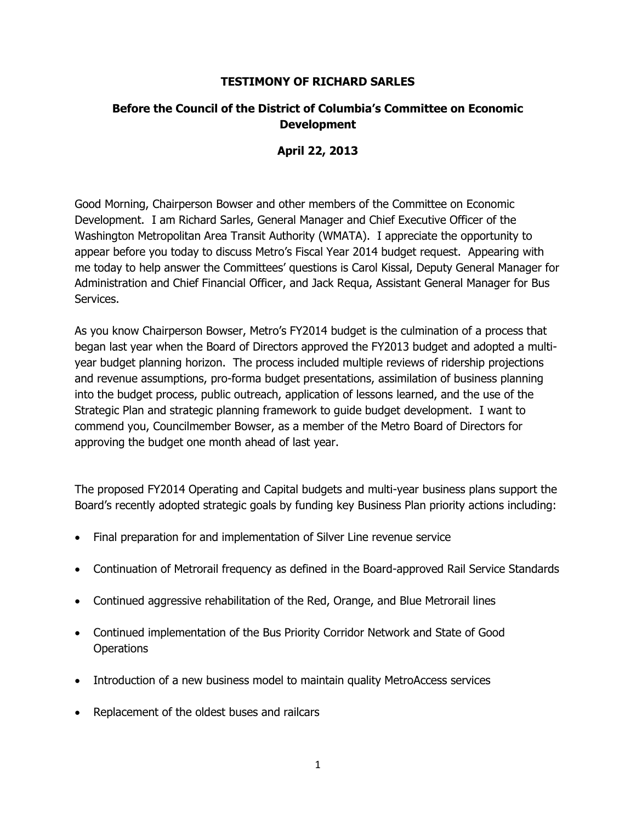#### **TESTIMONY OF RICHARD SARLES**

### **Before the Council of the District of Columbia's Committee on Economic Development**

### **April 22, 2013**

Good Morning, Chairperson Bowser and other members of the Committee on Economic Development. I am Richard Sarles, General Manager and Chief Executive Officer of the Washington Metropolitan Area Transit Authority (WMATA). I appreciate the opportunity to appear before you today to discuss Metro's Fiscal Year 2014 budget request. Appearing with me today to help answer the Committees' questions is Carol Kissal, Deputy General Manager for Administration and Chief Financial Officer, and Jack Requa, Assistant General Manager for Bus Services.

As you know Chairperson Bowser, Metro's FY2014 budget is the culmination of a process that began last year when the Board of Directors approved the FY2013 budget and adopted a multiyear budget planning horizon. The process included multiple reviews of ridership projections and revenue assumptions, pro-forma budget presentations, assimilation of business planning into the budget process, public outreach, application of lessons learned, and the use of the Strategic Plan and strategic planning framework to guide budget development. I want to commend you, Councilmember Bowser, as a member of the Metro Board of Directors for approving the budget one month ahead of last year.

The proposed FY2014 Operating and Capital budgets and multi-year business plans support the Board's recently adopted strategic goals by funding key Business Plan priority actions including:

- Final preparation for and implementation of Silver Line revenue service
- Continuation of Metrorail frequency as defined in the Board-approved Rail Service Standards
- Continued aggressive rehabilitation of the Red, Orange, and Blue Metrorail lines
- Continued implementation of the Bus Priority Corridor Network and State of Good **Operations**
- Introduction of a new business model to maintain quality MetroAccess services
- Replacement of the oldest buses and railcars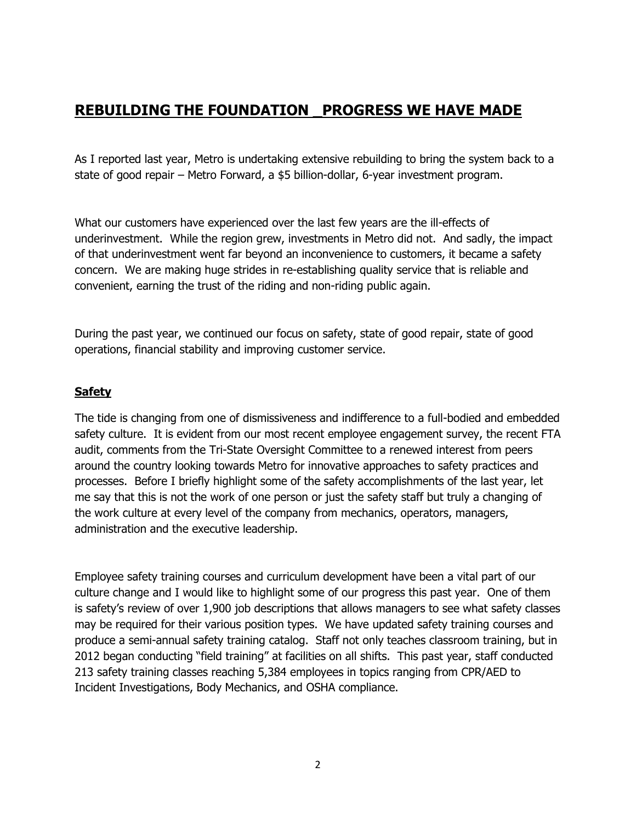# **REBUILDING THE FOUNDATION \_PROGRESS WE HAVE MADE**

As I reported last year, Metro is undertaking extensive rebuilding to bring the system back to a state of good repair – Metro Forward, a \$5 billion-dollar, 6-year investment program.

What our customers have experienced over the last few years are the ill-effects of underinvestment. While the region grew, investments in Metro did not. And sadly, the impact of that underinvestment went far beyond an inconvenience to customers, it became a safety concern. We are making huge strides in re-establishing quality service that is reliable and convenient, earning the trust of the riding and non-riding public again.

During the past year, we continued our focus on safety, state of good repair, state of good operations, financial stability and improving customer service.

# **Safety**

The tide is changing from one of dismissiveness and indifference to a full-bodied and embedded safety culture. It is evident from our most recent employee engagement survey, the recent FTA audit, comments from the Tri-State Oversight Committee to a renewed interest from peers around the country looking towards Metro for innovative approaches to safety practices and processes. Before I briefly highlight some of the safety accomplishments of the last year, let me say that this is not the work of one person or just the safety staff but truly a changing of the work culture at every level of the company from mechanics, operators, managers, administration and the executive leadership.

Employee safety training courses and curriculum development have been a vital part of our culture change and I would like to highlight some of our progress this past year. One of them is safety's review of over 1,900 job descriptions that allows managers to see what safety classes may be required for their various position types. We have updated safety training courses and produce a semi-annual safety training catalog. Staff not only teaches classroom training, but in 2012 began conducting "field training" at facilities on all shifts. This past year, staff conducted 213 safety training classes reaching 5,384 employees in topics ranging from CPR/AED to Incident Investigations, Body Mechanics, and OSHA compliance.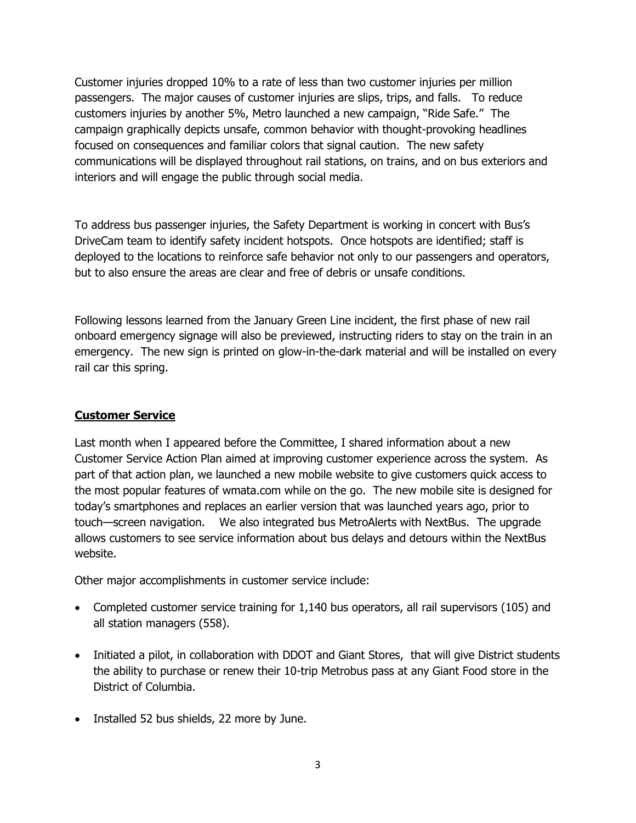Customer injuries dropped 10% to a rate of less than two customer injuries per million passengers. The major causes of customer injuries are slips, trips, and falls. To reduce customers injuries by another 5%, Metro launched a new campaign, "Ride Safe." The campaign graphically depicts unsafe, common behavior with thought-provoking headlines focused on consequences and familiar colors that signal caution. The new safety communications will be displayed throughout rail stations, on trains, and on bus exteriors and interiors and will engage the public through social media.

To address bus passenger injuries, the Safety Department is working in concert with Bus's DriveCam team to identify safety incident hotspots. Once hotspots are identified; staff is deployed to the locations to reinforce safe behavior not only to our passengers and operators, but to also ensure the areas are clear and free of debris or unsafe conditions.

Following lessons learned from the January Green Line incident, the first phase of new rail onboard emergency signage will also be previewed, instructing riders to stay on the train in an emergency. The new sign is printed on glow-in-the-dark material and will be installed on every rail car this spring.

### **Customer Service**

Last month when I appeared before the Committee, I shared information about a new Customer Service Action Plan aimed at improving customer experience across the system. As part of that action plan, we launched a new mobile website to give customers quick access to the most popular features of wmata.com while on the go. The new mobile site is designed for today's smartphones and replaces an earlier version that was launched years ago, prior to touch—screen navigation. We also integrated bus MetroAlerts with NextBus. The upgrade allows customers to see service information about bus delays and detours within the NextBus website.

Other major accomplishments in customer service include:

- Completed customer service training for 1,140 bus operators, all rail supervisors (105) and all station managers (558).
- Initiated a pilot, in collaboration with DDOT and Giant Stores, that will give District students the ability to purchase or renew their 10-trip Metrobus pass at any Giant Food store in the District of Columbia.
- Installed 52 bus shields, 22 more by June.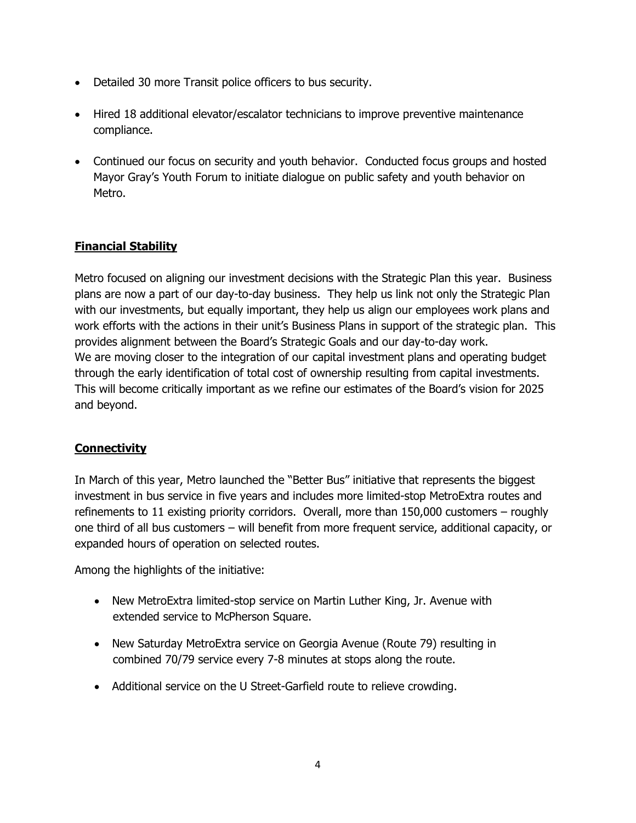- Detailed 30 more Transit police officers to bus security.
- Hired 18 additional elevator/escalator technicians to improve preventive maintenance compliance.
- Continued our focus on security and youth behavior. Conducted focus groups and hosted Mayor Gray's Youth Forum to initiate dialogue on public safety and youth behavior on Metro.

# **Financial Stability**

Metro focused on aligning our investment decisions with the Strategic Plan this year. Business plans are now a part of our day-to-day business. They help us link not only the Strategic Plan with our investments, but equally important, they help us align our employees work plans and work efforts with the actions in their unit's Business Plans in support of the strategic plan. This provides alignment between the Board's Strategic Goals and our day-to-day work. We are moving closer to the integration of our capital investment plans and operating budget through the early identification of total cost of ownership resulting from capital investments. This will become critically important as we refine our estimates of the Board's vision for 2025 and beyond.

# **Connectivity**

In March of this year, Metro launched the "Better Bus" initiative that represents the biggest investment in bus service in five years and includes more limited-stop MetroExtra routes and refinements to 11 existing priority corridors. Overall, more than 150,000 customers – roughly one third of all bus customers – will benefit from more frequent service, additional capacity, or expanded hours of operation on selected routes.

Among the highlights of the initiative:

- New MetroExtra limited-stop service on Martin Luther King, Jr. Avenue with extended service to McPherson Square.
- New Saturday MetroExtra service on Georgia Avenue (Route 79) resulting in combined 70/79 service every 7-8 minutes at stops along the route.
- Additional service on the U Street-Garfield route to relieve crowding.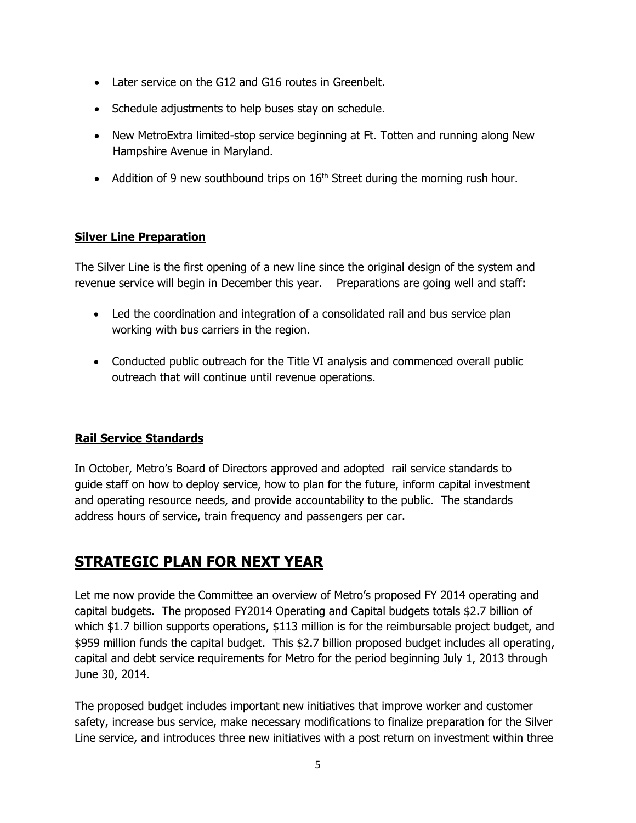- Later service on the G12 and G16 routes in Greenbelt.
- Schedule adjustments to help buses stay on schedule.
- New MetroExtra limited-stop service beginning at Ft. Totten and running along New Hampshire Avenue in Maryland.
- Addition of 9 new southbound trips on  $16<sup>th</sup>$  Street during the morning rush hour.

# **Silver Line Preparation**

The Silver Line is the first opening of a new line since the original design of the system and revenue service will begin in December this year. Preparations are going well and staff:

- Led the coordination and integration of a consolidated rail and bus service plan working with bus carriers in the region.
- Conducted public outreach for the Title VI analysis and commenced overall public outreach that will continue until revenue operations.

### **Rail Service Standards**

In October, Metro's Board of Directors approved and adopted rail service standards to guide staff on how to deploy service, how to plan for the future, inform capital investment and operating resource needs, and provide accountability to the public. The standards address hours of service, train frequency and passengers per car.

# **STRATEGIC PLAN FOR NEXT YEAR**

Let me now provide the Committee an overview of Metro's proposed FY 2014 operating and capital budgets. The proposed FY2014 Operating and Capital budgets totals \$2.7 billion of which \$1.7 billion supports operations, \$113 million is for the reimbursable project budget, and \$959 million funds the capital budget. This \$2.7 billion proposed budget includes all operating, capital and debt service requirements for Metro for the period beginning July 1, 2013 through June 30, 2014.

The proposed budget includes important new initiatives that improve worker and customer safety, increase bus service, make necessary modifications to finalize preparation for the Silver Line service, and introduces three new initiatives with a post return on investment within three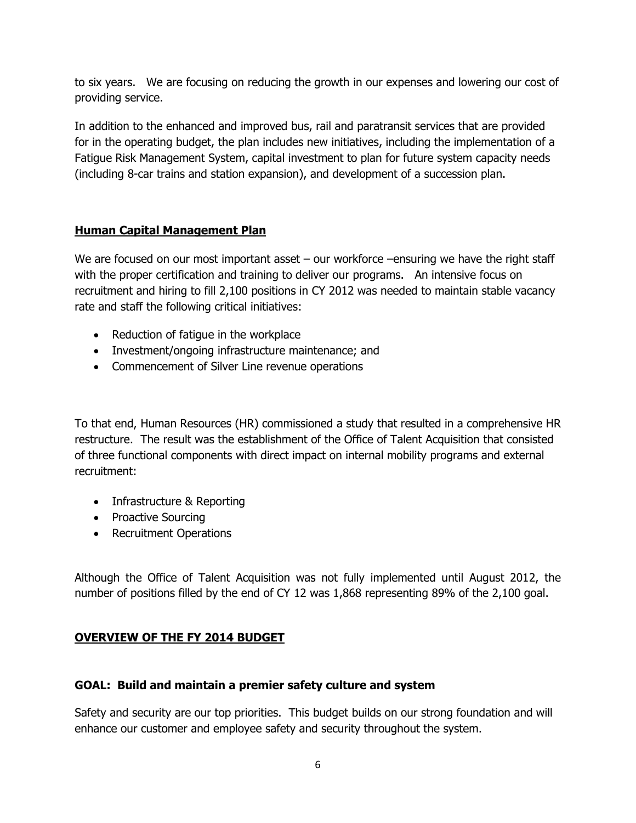to six years. We are focusing on reducing the growth in our expenses and lowering our cost of providing service.

In addition to the enhanced and improved bus, rail and paratransit services that are provided for in the operating budget, the plan includes new initiatives, including the implementation of a Fatigue Risk Management System, capital investment to plan for future system capacity needs (including 8-car trains and station expansion), and development of a succession plan.

# **Human Capital Management Plan**

We are focused on our most important asset – our workforce –ensuring we have the right staff with the proper certification and training to deliver our programs. An intensive focus on recruitment and hiring to fill 2,100 positions in CY 2012 was needed to maintain stable vacancy rate and staff the following critical initiatives:

- Reduction of fatique in the workplace
- Investment/ongoing infrastructure maintenance; and
- Commencement of Silver Line revenue operations

To that end, Human Resources (HR) commissioned a study that resulted in a comprehensive HR restructure. The result was the establishment of the Office of Talent Acquisition that consisted of three functional components with direct impact on internal mobility programs and external recruitment:

- Infrastructure & Reporting
- Proactive Sourcing
- Recruitment Operations

Although the Office of Talent Acquisition was not fully implemented until August 2012, the number of positions filled by the end of CY 12 was 1,868 representing 89% of the 2,100 goal.

### **OVERVIEW OF THE FY 2014 BUDGET**

### **GOAL: Build and maintain a premier safety culture and system**

Safety and security are our top priorities. This budget builds on our strong foundation and will enhance our customer and employee safety and security throughout the system.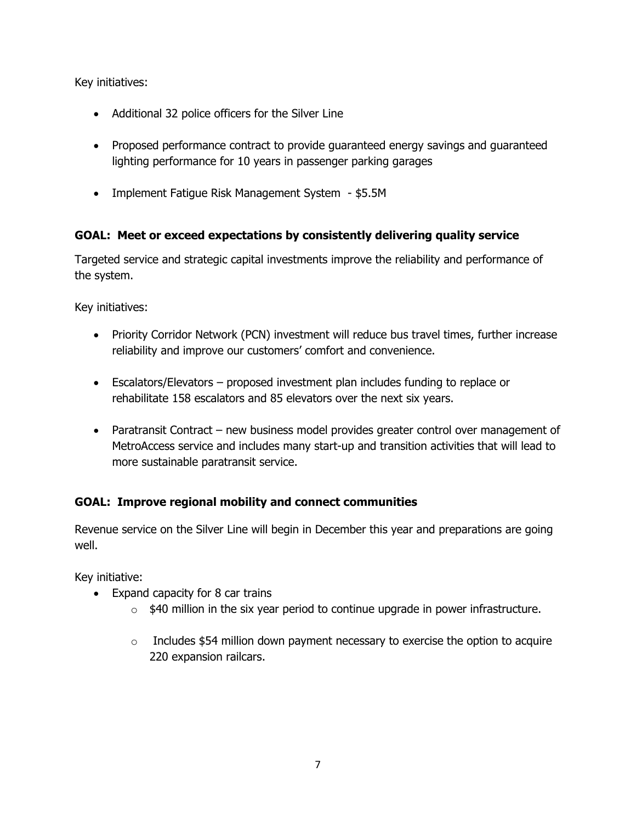Key initiatives:

- Additional 32 police officers for the Silver Line
- Proposed performance contract to provide guaranteed energy savings and guaranteed lighting performance for 10 years in passenger parking garages
- Implement Fatigue Risk Management System \$5.5M

# **GOAL: Meet or exceed expectations by consistently delivering quality service**

Targeted service and strategic capital investments improve the reliability and performance of the system.

Key initiatives:

- Priority Corridor Network (PCN) investment will reduce bus travel times, further increase reliability and improve our customers' comfort and convenience.
- Escalators/Elevators proposed investment plan includes funding to replace or rehabilitate 158 escalators and 85 elevators over the next six years.
- Paratransit Contract new business model provides greater control over management of MetroAccess service and includes many start-up and transition activities that will lead to more sustainable paratransit service.

# **GOAL: Improve regional mobility and connect communities**

Revenue service on the Silver Line will begin in December this year and preparations are going well.

Key initiative:

- Expand capacity for 8 car trains
	- $\circ$  \$40 million in the six year period to continue upgrade in power infrastructure.
	- $\circ$  Includes \$54 million down payment necessary to exercise the option to acquire 220 expansion railcars.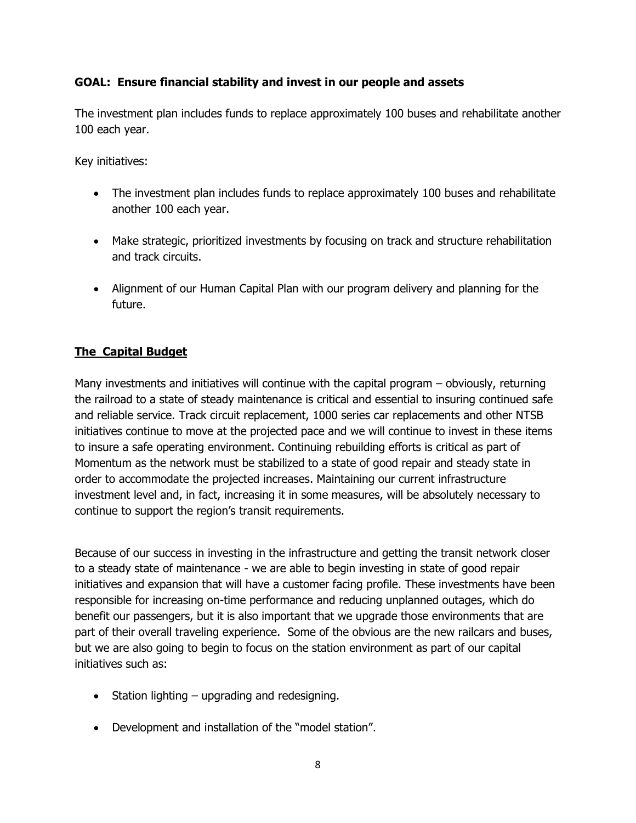### **GOAL: Ensure financial stability and invest in our people and assets**

The investment plan includes funds to replace approximately 100 buses and rehabilitate another 100 each year.

Key initiatives:

- The investment plan includes funds to replace approximately 100 buses and rehabilitate another 100 each year.
- Make strategic, prioritized investments by focusing on track and structure rehabilitation and track circuits.
- Alignment of our Human Capital Plan with our program delivery and planning for the future.

# **The Capital Budget**

Many investments and initiatives will continue with the capital program – obviously, returning the railroad to a state of steady maintenance is critical and essential to insuring continued safe and reliable service. Track circuit replacement, 1000 series car replacements and other NTSB initiatives continue to move at the projected pace and we will continue to invest in these items to insure a safe operating environment. Continuing rebuilding efforts is critical as part of Momentum as the network must be stabilized to a state of good repair and steady state in order to accommodate the projected increases. Maintaining our current infrastructure investment level and, in fact, increasing it in some measures, will be absolutely necessary to continue to support the region's transit requirements.

Because of our success in investing in the infrastructure and getting the transit network closer to a steady state of maintenance - we are able to begin investing in state of good repair initiatives and expansion that will have a customer facing profile. These investments have been responsible for increasing on-time performance and reducing unplanned outages, which do benefit our passengers, but it is also important that we upgrade those environments that are part of their overall traveling experience. Some of the obvious are the new railcars and buses, but we are also going to begin to focus on the station environment as part of our capital initiatives such as:

- Station lighting upgrading and redesigning.
- Development and installation of the "model station".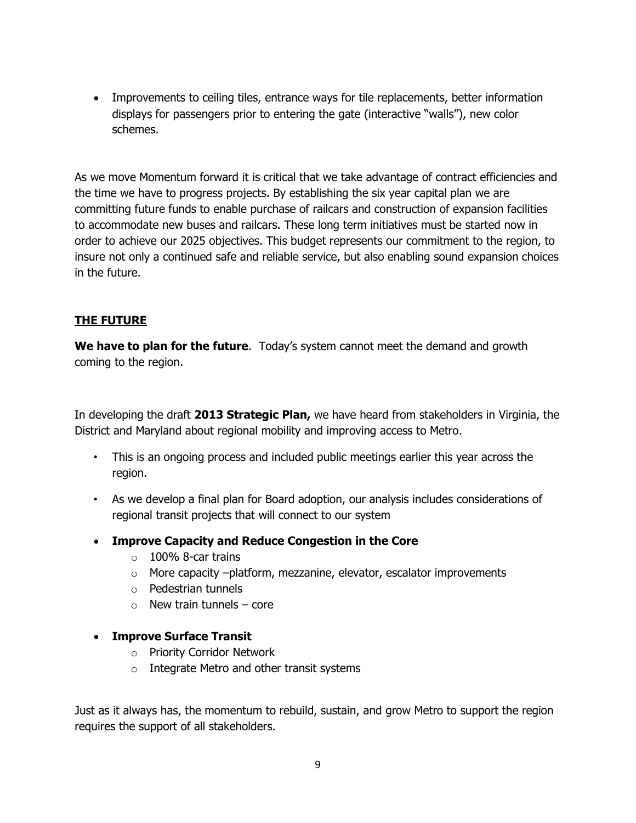• Improvements to ceiling tiles, entrance ways for tile replacements, better information displays for passengers prior to entering the gate (interactive "walls"), new color schemes.

As we move Momentum forward it is critical that we take advantage of contract efficiencies and the time we have to progress projects. By establishing the six year capital plan we are committing future funds to enable purchase of railcars and construction of expansion facilities to accommodate new buses and railcars. These long term initiatives must be started now in order to achieve our 2025 objectives. This budget represents our commitment to the region, to insure not only a continued safe and reliable service, but also enabling sound expansion choices in the future.

# **THE FUTURE**

**We have to plan for the future**. Today's system cannot meet the demand and growth coming to the region.

In developing the draft **2013 Strategic Plan,** we have heard from stakeholders in Virginia, the District and Maryland about regional mobility and improving access to Metro.

- This is an ongoing process and included public meetings earlier this year across the region.
- As we develop a final plan for Board adoption, our analysis includes considerations of regional transit projects that will connect to our system
- **Improve Capacity and Reduce Congestion in the Core** 
	- $\circ$  100% 8-car trains
	- o More capacity –platform, mezzanine, elevator, escalator improvements
	- o Pedestrian tunnels
	- $\circ$  New train tunnels core
- **Improve Surface Transit** 
	- o Priority Corridor Network
	- o Integrate Metro and other transit systems

Just as it always has, the momentum to rebuild, sustain, and grow Metro to support the region requires the support of all stakeholders.